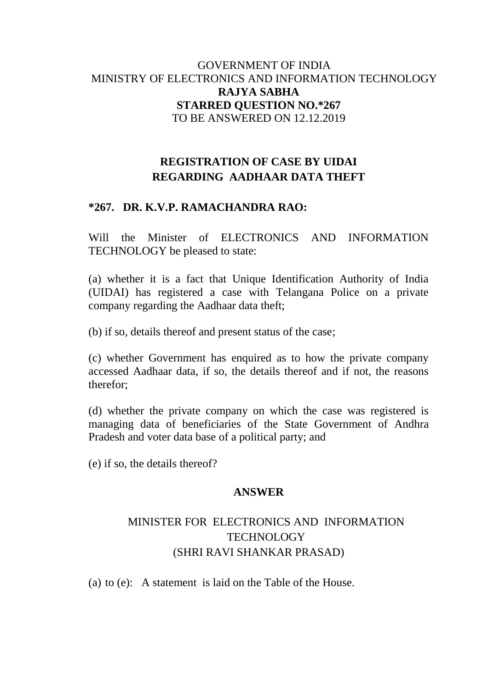### GOVERNMENT OF INDIA MINISTRY OF ELECTRONICS AND INFORMATION TECHNOLOGY **RAJYA SABHA STARRED QUESTION NO.\*267** TO BE ANSWERED ON 12.12.2019

## **REGISTRATION OF CASE BY UIDAI REGARDING AADHAAR DATA THEFT**

## **\*267. DR. K.V.P. RAMACHANDRA RAO:**

Will the Minister of ELECTRONICS AND INFORMATION TECHNOLOGY be pleased to state:

(a) whether it is a fact that Unique Identification Authority of India (UIDAI) has registered a case with Telangana Police on a private company regarding the Aadhaar data theft;

(b) if so, details thereof and present status of the case;

(c) whether Government has enquired as to how the private company accessed Aadhaar data, if so, the details thereof and if not, the reasons therefor;

(d) whether the private company on which the case was registered is managing data of beneficiaries of the State Government of Andhra Pradesh and voter data base of a political party; and

(e) if so, the details thereof?

#### **ANSWER**

# MINISTER FOR ELECTRONICS AND INFORMATION **TECHNOLOGY** (SHRI RAVI SHANKAR PRASAD)

(a) to (e): A statement is laid on the Table of the House.